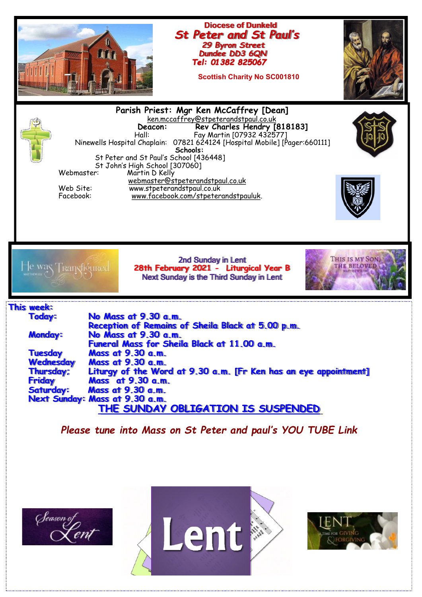





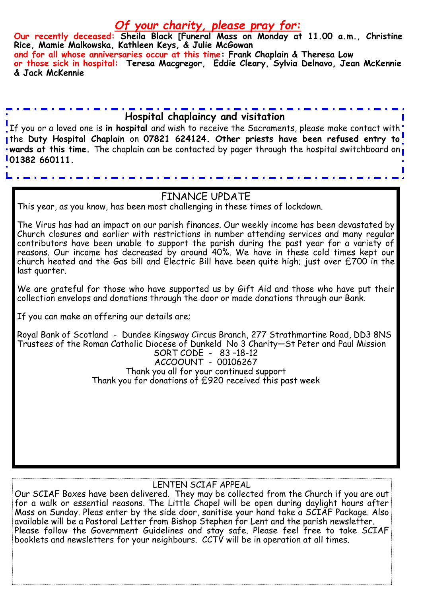## *Of your charity, please pray for:*

**Our recently deceased: Sheila Black [Funeral Mass on Monday at 11.00 a.m., Christine Rice, Mamie Malkowska, Kathleen Keys, & Julie McGowan and for all whose anniversaries occur at this time: Frank Chaplain & Theresa Low or those sick in hospital: Teresa Macgregor, Eddie Cleary, Sylvia Delnavo, Jean McKennie & Jack McKennie**

### **Hospital chaplaincy and visitation**

If you or a loved one is **in hospital** and wish to receive the Sacraments, please make contact with the **Duty Hospital Chaplain** on **07821 624124. Other priests have been refused entry to wards at this time.** The chaplain can be contacted by pager through the hospital switchboard on **01382 660111.** 

#### FINANCE UPDATE

This year, as you know, has been most challenging in these times of lockdown.

The Virus has had an impact on our parish finances. Our weekly income has been devastated by Church closures and earlier with restrictions in number attending services and many regular contributors have been unable to support the parish during the past year for a variety of reasons. Our income has decreased by around 40%. We have in these cold times kept our church heated and the Gas bill and Electric Bill have been quite high; just over £700 in the last quarter.

We are grateful for those who have supported us by Gift Aid and those who have put their collection envelops and donations through the door or made donations through our Bank.

If you can make an offering our details are;

Royal Bank of Scotland - Dundee Kingsway Circus Branch, 277 Strathmartine Road, DD3 8NS Trustees of the Roman Catholic Diocese of Dunkeld No 3 Charity—St Peter and Paul Mission SORT CODE - 83 –18-12 ACCOOUNT - 00106267 Thank you all for your continued support

Thank you for donations of £920 received this past week

#### LENTEN SCIAF APPEAL

Our SCIAF Boxes have been delivered. They may be collected from the Church if you are out for a walk or essential reasons. The Little Chapel will be open during daylight hours after Mass on Sunday. Pleas enter by the side door, sanitise your hand take a SCIAF Package. Also available will be a Pastoral Letter from Bishop Stephen for Lent and the parish newsletter. Please follow the Government Guidelines and stay safe. Please feel free to take SCIAF booklets and newsletters for your neighbours. CCTV will be in operation at all times.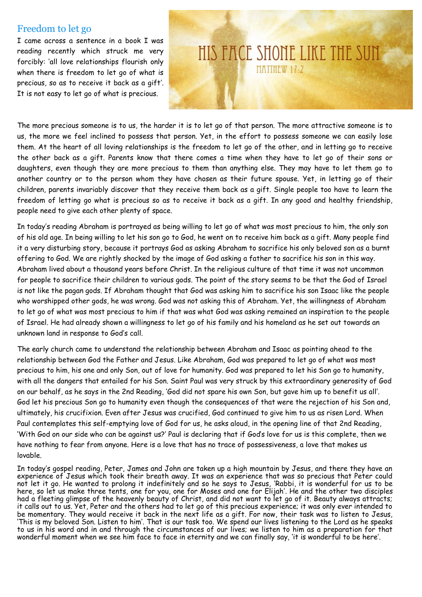#### Freedom to let go

I came across a sentence in a book I was reading recently which struck me very forcibly: 'all love relationships flourish only when there is freedom to let go of what is precious, so as to receive it back as a gift'. It is not easy to let go of what is precious.

# HIS FACE SHONE LIKE THE SUN MATTHFW 17.2

The more precious someone is to us, the harder it is to let go of that person. The more attractive someone is to us, the more we feel inclined to possess that person. Yet, in the effort to possess someone we can easily lose them. At the heart of all loving relationships is the freedom to let go of the other, and in letting go to receive the other back as a gift. Parents know that there comes a time when they have to let go of their sons or daughters, even though they are more precious to them than anything else. They may have to let them go to another country or to the person whom they have chosen as their future spouse. Yet, in letting go of their children, parents invariably discover that they receive them back as a gift. Single people too have to learn the freedom of letting go what is precious so as to receive it back as a gift. In any good and healthy friendship, people need to give each other plenty of space.

In today's reading Abraham is portrayed as being willing to let go of what was most precious to him, the only son of his old age. In being willing to let his son go to God, he went on to receive him back as a gift. Many people find it a very disturbing story, because it portrays God as asking Abraham to sacrifice his only beloved son as a burnt offering to God. We are rightly shocked by the image of God asking a father to sacrifice his son in this way. Abraham lived about a thousand years before Christ. In the religious culture of that time it was not uncommon for people to sacrifice their children to various gods. The point of the story seems to be that the God of Israel is not like the pagan gods. If Abraham thought that God was asking him to sacrifice his son Isaac like the people who worshipped other gods, he was wrong. God was not asking this of Abraham. Yet, the willingness of Abraham to let go of what was most precious to him if that was what God was asking remained an inspiration to the people of Israel. He had already shown a willingness to let go of his family and his homeland as he set out towards an unknown land in response to God's call.

The early church came to understand the relationship between Abraham and Isaac as pointing ahead to the relationship between God the Father and Jesus. Like Abraham, God was prepared to let go of what was most precious to him, his one and only Son, out of love for humanity. God was prepared to let his Son go to humanity, with all the dangers that entailed for his Son. Saint Paul was very struck by this extraordinary generosity of God on our behalf, as he says in the 2nd Reading, 'God did not spare his own Son, but gave him up to benefit us all'. God let his precious Son go to humanity even though the consequences of that were the rejection of his Son and, ultimately, his crucifixion. Even after Jesus was crucified, God continued to give him to us as risen Lord. When Paul contemplates this self-emptying love of God for us, he asks aloud, in the opening line of that 2nd Reading, 'With God on our side who can be against us?' Paul is declaring that if God's love for us is this complete, then we have nothing to fear from anyone. Here is a love that has no trace of possessiveness, a love that makes us lovable.

In today's gospel reading, Peter, James and John are taken up a high mountain by Jesus, and there they have an experience of Jesus which took their breath away. It was an experience that was so precious that Peter could not let it go. He wanted to prolong it indefinitely and so he says to Jesus, 'Rabbi, it is wonderful for us to be here, so let us make three tents, one for you, one for Moses and one for Elijah'. He and the other two disciples had a fleeting glimpse of the heavenly beauty of Christ, and did not want to let go of it. Beauty always attracts; it calls out to us. Yet, Peter and the others had to let go of this precious experience; it was only ever intended to be momentary. They would receive it back in the next life as a gift. For now, their task was to listen to Jesus, 'This is my beloved Son. Listen to him'. That is our task too. We spend our lives listening to the Lord as he speaks to us in his word and in and through the circumstances of our lives; we listen to him as a preparation for that wonderful moment when we see him face to face in eternity and we can finally say, 'it is wonderful to be here'.